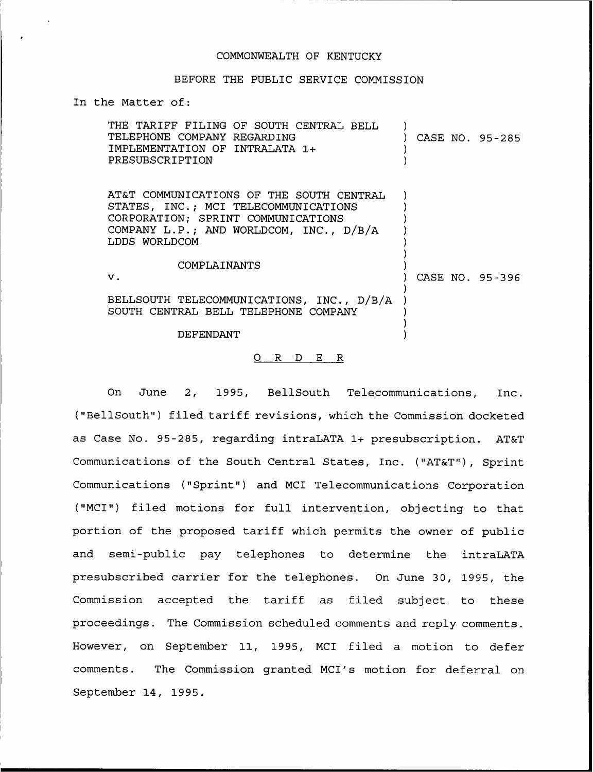## COMMONWEALTH OF KENTUCKY

## BEFORE THE PUBLIC SERVICE COMMISSION

## In the Matter of:

| THE TARIFF FILING OF SOUTH CENTRAL BELL<br>TELEPHONE COMPANY REGARDING<br>IMPLEMENTATION OF INTRALATA 1+<br>PRESUBSCRIPTION                                                        | CASE NO. 95-285 |
|------------------------------------------------------------------------------------------------------------------------------------------------------------------------------------|-----------------|
| AT&T COMMUNICATIONS OF THE SOUTH CENTRAL<br>STATES, INC.; MCI TELECOMMUNICATIONS<br>CORPORATION; SPRINT COMMUNICATIONS<br>COMPANY L.P.; AND WORLDCOM, INC., D/B/A<br>LDDS WORLDCOM |                 |
| COMPLAINANTS<br>$\mathbf v$ .                                                                                                                                                      | CASE NO. 95-396 |
| BELLSOUTH TELECOMMUNICATIONS, INC., D/B/A<br>SOUTH CENTRAL BELL TELEPHONE COMPANY                                                                                                  |                 |
| DEFENDANT                                                                                                                                                                          |                 |

## 0 R <sup>D</sup> E R

On June 2, 1995, BellSouth Telecommunications, Inc. ("BellSouth") filed tariff revisions, which the Commission docketed as Case No. 95-285, regarding intraLATA 1+ presubscription. AT&T Communications of the South Central States, Inc. ("AT&T"), Sprint Communications ("Sprint") and MCI Telecommunications Corporation ("MCI") filed motions for full intervention, objecting to that portion of the proposed tariff which permits the owner of public and semi-public pay telephones to determine the intraLATA presubscribed carrier for the telephones. On June 30, 1995, the Commission accepted the tariff as filed subject to these proceedings. The Commission scheduled comments and reply comments. However, on September 11, 1995, MCI filed a motion to defer comments. The Commission granted MCI's motion for deferral on September 14, 1995.